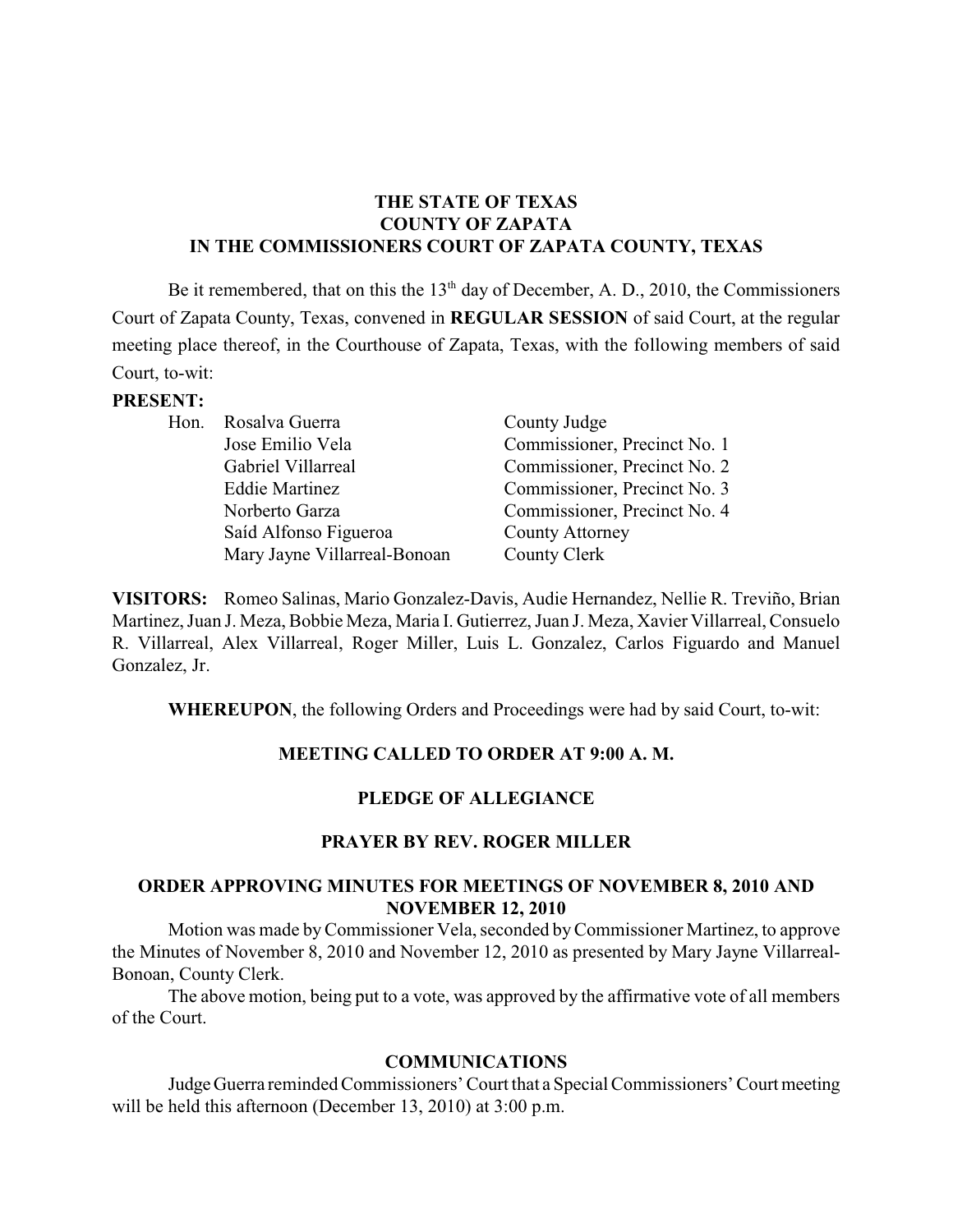### **THE STATE OF TEXAS COUNTY OF ZAPATA IN THE COMMISSIONERS COURT OF ZAPATA COUNTY, TEXAS**

Be it remembered, that on this the  $13<sup>th</sup>$  day of December, A. D., 2010, the Commissioners Court of Zapata County, Texas, convened in **REGULAR SESSION** of said Court, at the regular meeting place thereof, in the Courthouse of Zapata, Texas, with the following members of said Court, to-wit:

#### **PRESENT:**

| Hon. Rosalva Guerra          | County Judge                 |
|------------------------------|------------------------------|
| Jose Emilio Vela             | Commissioner, Precinct No. 1 |
| Gabriel Villarreal           | Commissioner, Precinct No. 2 |
| <b>Eddie Martinez</b>        | Commissioner, Precinct No. 3 |
| Norberto Garza               | Commissioner, Precinct No. 4 |
| Saíd Alfonso Figueroa        | <b>County Attorney</b>       |
| Mary Jayne Villarreal-Bonoan | County Clerk                 |

**VISITORS:** Romeo Salinas, Mario Gonzalez-Davis, Audie Hernandez, Nellie R. Treviño, Brian Martinez, Juan J. Meza, Bobbie Meza, Maria I. Gutierrez, Juan J. Meza, Xavier Villarreal, Consuelo R. Villarreal, Alex Villarreal, Roger Miller, Luis L. Gonzalez, Carlos Figuardo and Manuel Gonzalez, Jr.

**WHEREUPON**, the following Orders and Proceedings were had by said Court, to-wit:

### **MEETING CALLED TO ORDER AT 9:00 A. M.**

### **PLEDGE OF ALLEGIANCE**

### **PRAYER BY REV. ROGER MILLER**

### **ORDER APPROVING MINUTES FOR MEETINGS OF NOVEMBER 8, 2010 AND NOVEMBER 12, 2010**

Motion was made byCommissioner Vela, seconded byCommissioner Martinez, to approve the Minutes of November 8, 2010 and November 12, 2010 as presented by Mary Jayne Villarreal-Bonoan, County Clerk.

The above motion, being put to a vote, was approved by the affirmative vote of all members of the Court.

#### **COMMUNICATIONS**

JudgeGuerra reminded Commissioners' Court that a Special Commissioners' Court meeting will be held this afternoon (December 13, 2010) at 3:00 p.m.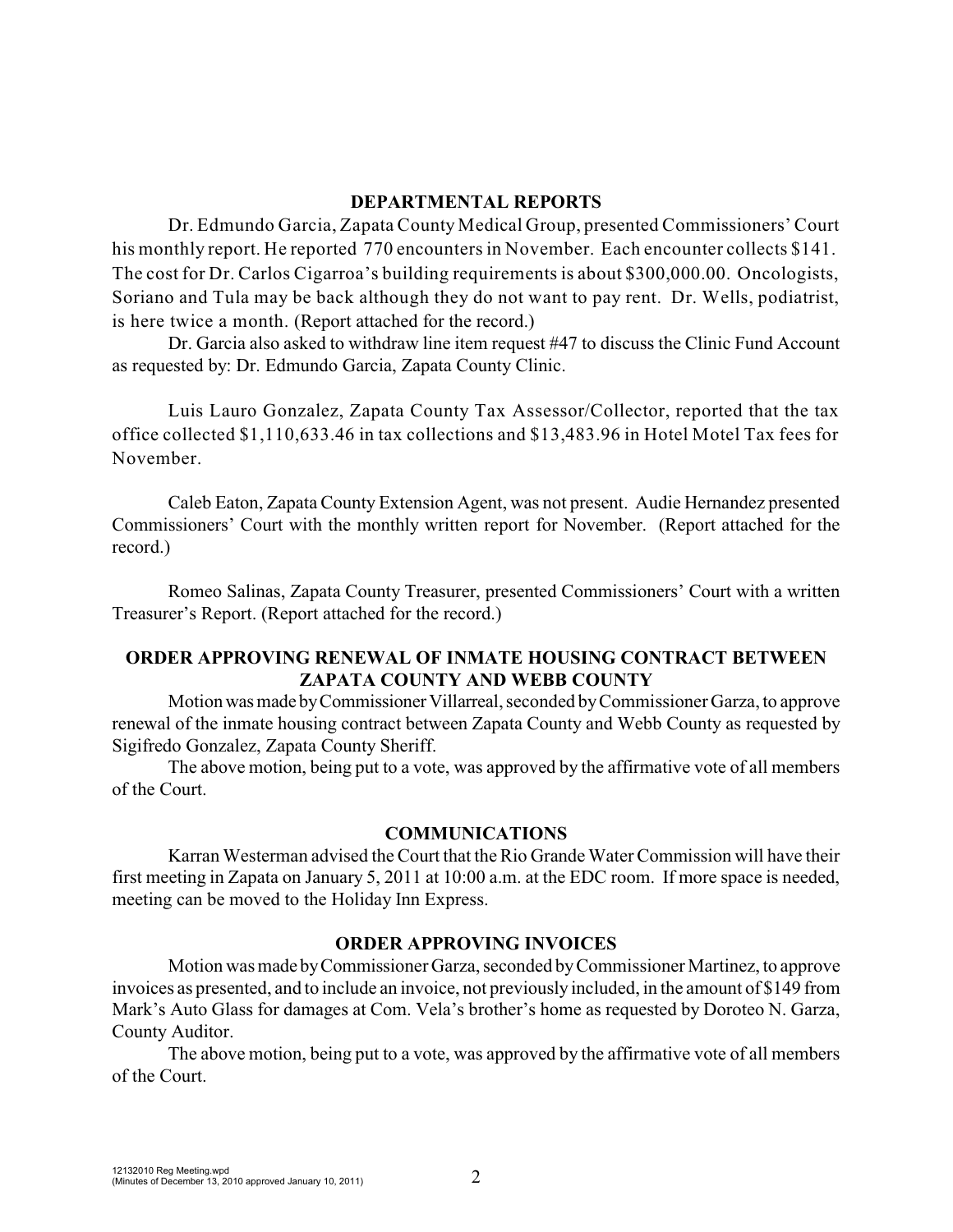### **DEPARTMENTAL REPORTS**

Dr. Edmundo Garcia, Zapata County Medical Group, presented Commissioners' Court his monthly report. He reported 770 encounters in November. Each encounter collects \$141. The cost for Dr. Carlos Cigarroa's building requirements is about \$300,000.00. Oncologists, Soriano and Tula may be back although they do not want to pay rent. Dr. Wells, podiatrist, is here twice a month. (Report attached for the record.)

Dr. Garcia also asked to withdraw line item request #47 to discuss the Clinic Fund Account as requested by: Dr. Edmundo Garcia, Zapata County Clinic.

Luis Lauro Gonzalez, Zapata County Tax Assessor/Collector, reported that the tax office collected \$1,110,633.46 in tax collections and \$13,483.96 in Hotel Motel Tax fees for November.

Caleb Eaton, Zapata County Extension Agent, was not present. Audie Hernandez presented Commissioners' Court with the monthly written report for November. (Report attached for the record.)

Romeo Salinas, Zapata County Treasurer, presented Commissioners' Court with a written Treasurer's Report. (Report attached for the record.)

# **ORDER APPROVING RENEWAL OF INMATE HOUSING CONTRACT BETWEEN ZAPATA COUNTY AND WEBB COUNTY**

Motion was made by Commissioner Villarreal, seconded by Commissioner Garza, to approve renewal of the inmate housing contract between Zapata County and Webb County as requested by Sigifredo Gonzalez, Zapata County Sheriff.

The above motion, being put to a vote, was approved by the affirmative vote of all members of the Court.

### **COMMUNICATIONS**

Karran Westerman advised the Court that the Rio Grande Water Commission will have their first meeting in Zapata on January 5, 2011 at 10:00 a.m. at the EDC room. If more space is needed, meeting can be moved to the Holiday Inn Express.

### **ORDER APPROVING INVOICES**

Motion was made byCommissioner Garza, seconded byCommissioner Martinez, to approve invoices as presented, and to include an invoice, not previously included, in the amount of \$149 from Mark's Auto Glass for damages at Com. Vela's brother's home as requested by Doroteo N. Garza, County Auditor.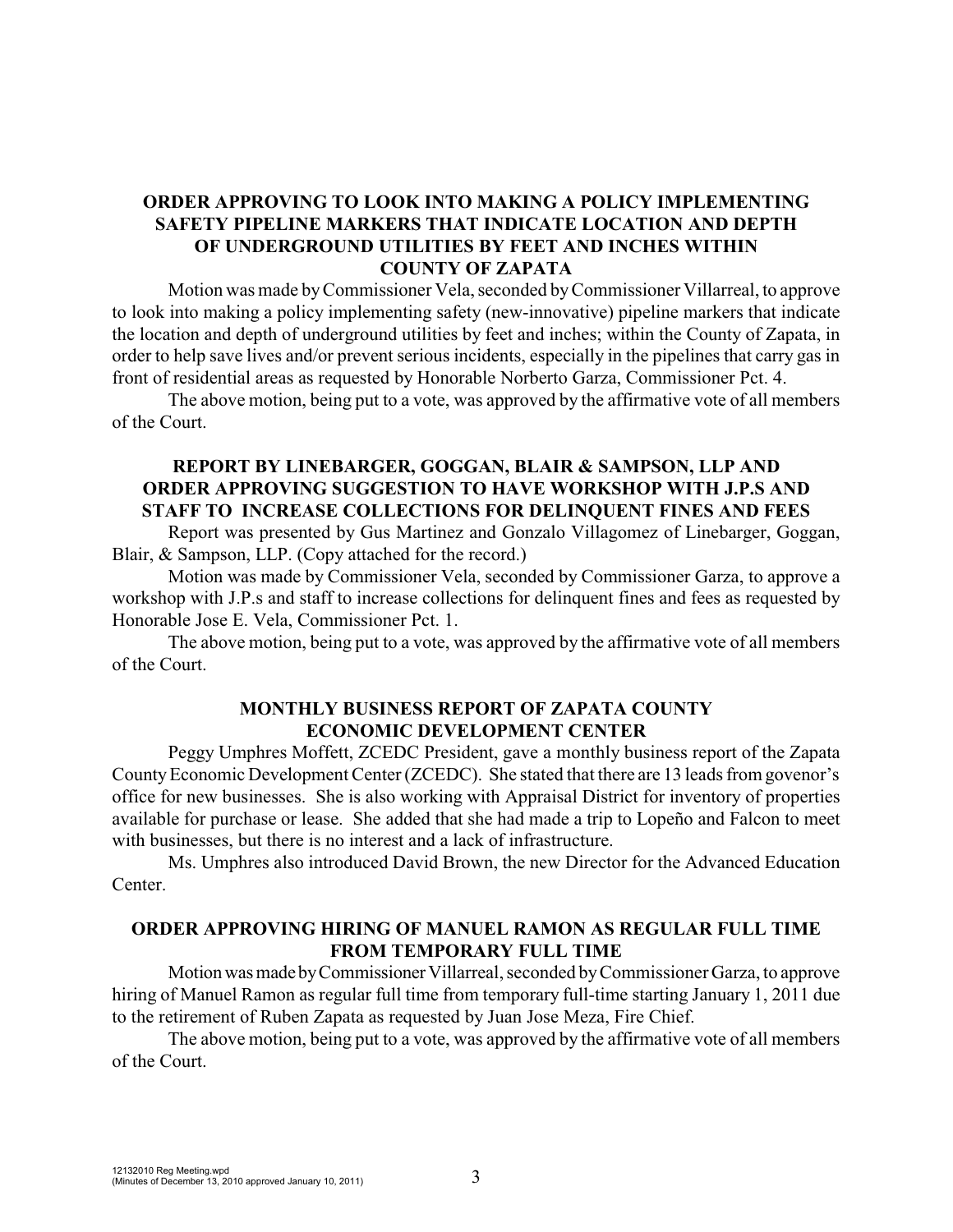## **ORDER APPROVING TO LOOK INTO MAKING A POLICY IMPLEMENTING SAFETY PIPELINE MARKERS THAT INDICATE LOCATION AND DEPTH OF UNDERGROUND UTILITIES BY FEET AND INCHES WITHIN COUNTY OF ZAPATA**

Motion was made byCommissioner Vela, seconded byCommissioner Villarreal, to approve to look into making a policy implementing safety (new-innovative) pipeline markers that indicate the location and depth of underground utilities by feet and inches; within the County of Zapata, in order to help save lives and/or prevent serious incidents, especially in the pipelines that carry gas in front of residential areas as requested by Honorable Norberto Garza, Commissioner Pct. 4.

The above motion, being put to a vote, was approved by the affirmative vote of all members of the Court.

# **REPORT BY LINEBARGER, GOGGAN, BLAIR & SAMPSON, LLP AND ORDER APPROVING SUGGESTION TO HAVE WORKSHOP WITH J.P.S AND STAFF TO INCREASE COLLECTIONS FOR DELINQUENT FINES AND FEES**

Report was presented by Gus Martinez and Gonzalo Villagomez of Linebarger, Goggan, Blair, & Sampson, LLP. (Copy attached for the record.)

Motion was made by Commissioner Vela, seconded by Commissioner Garza, to approve a workshop with J.P.s and staff to increase collections for delinquent fines and fees as requested by Honorable Jose E. Vela, Commissioner Pct. 1.

The above motion, being put to a vote, was approved by the affirmative vote of all members of the Court.

## **MONTHLY BUSINESS REPORT OF ZAPATA COUNTY ECONOMIC DEVELOPMENT CENTER**

Peggy Umphres Moffett, ZCEDC President, gave a monthly business report of the Zapata County Economic Development Center (ZCEDC). She stated that there are 13 leads from govenor's office for new businesses. She is also working with Appraisal District for inventory of properties available for purchase or lease. She added that she had made a trip to Lopeño and Falcon to meet with businesses, but there is no interest and a lack of infrastructure.

Ms. Umphres also introduced David Brown, the new Director for the Advanced Education Center.

### **ORDER APPROVING HIRING OF MANUEL RAMON AS REGULAR FULL TIME FROM TEMPORARY FULL TIME**

Motionwasmade byCommissionerVillarreal, seconded byCommissioner Garza, to approve hiring of Manuel Ramon as regular full time from temporary full-time starting January 1, 2011 due to the retirement of Ruben Zapata as requested by Juan Jose Meza, Fire Chief.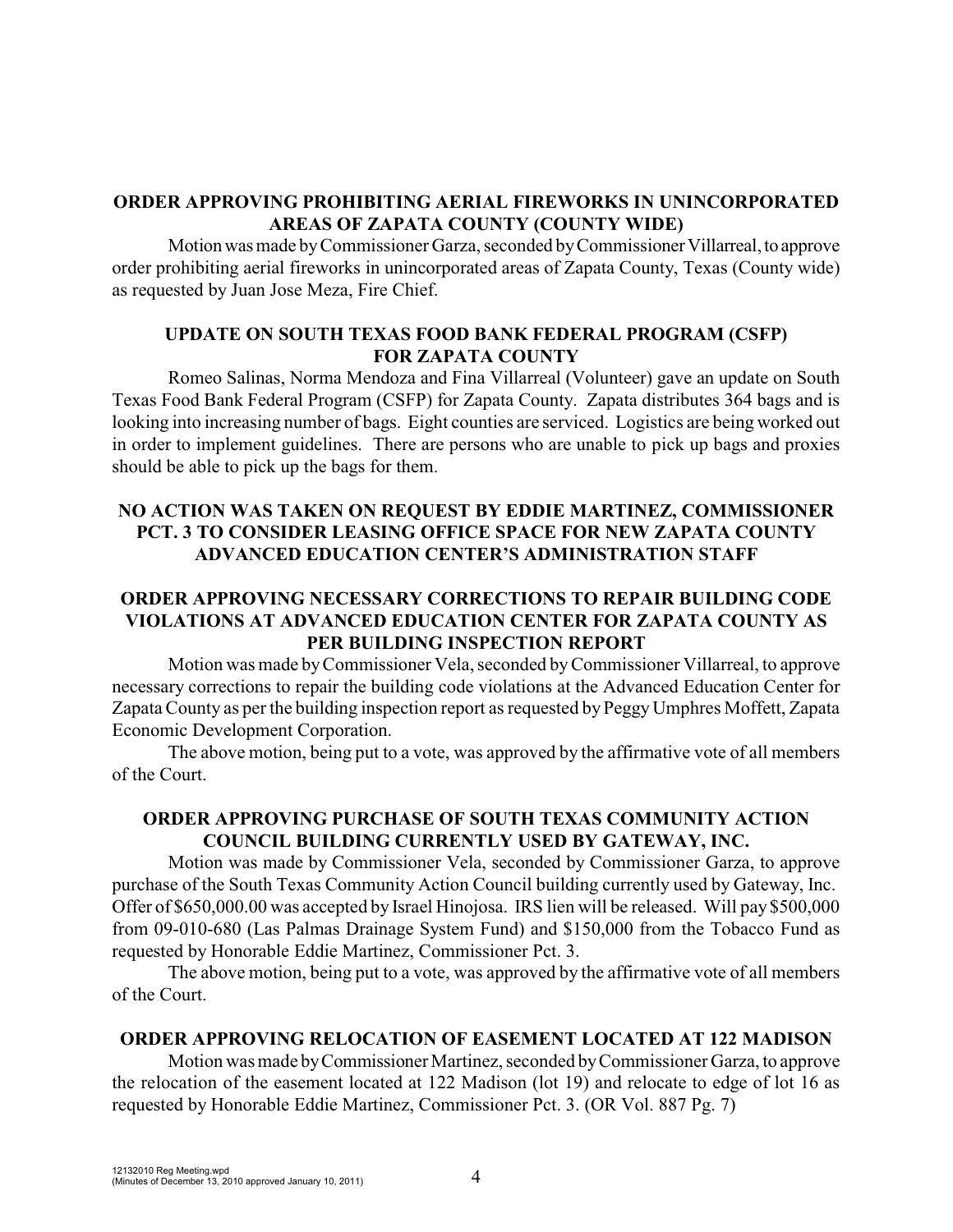## **ORDER APPROVING PROHIBITING AERIAL FIREWORKS IN UNINCORPORATED AREAS OF ZAPATA COUNTY (COUNTY WIDE)**

Motion was made by Commissioner Garza, seconded by Commissioner Villarreal, to approve order prohibiting aerial fireworks in unincorporated areas of Zapata County, Texas (County wide) as requested by Juan Jose Meza, Fire Chief.

## **UPDATE ON SOUTH TEXAS FOOD BANK FEDERAL PROGRAM (CSFP) FOR ZAPATA COUNTY**

Romeo Salinas, Norma Mendoza and Fina Villarreal (Volunteer) gave an update on South Texas Food Bank Federal Program (CSFP) for Zapata County. Zapata distributes 364 bags and is looking into increasing number of bags. Eight counties are serviced. Logistics are being worked out in order to implement guidelines. There are persons who are unable to pick up bags and proxies should be able to pick up the bags for them.

# **NO ACTION WAS TAKEN ON REQUEST BY EDDIE MARTINEZ, COMMISSIONER PCT. 3 TO CONSIDER LEASING OFFICE SPACE FOR NEW ZAPATA COUNTY ADVANCED EDUCATION CENTER'S ADMINISTRATION STAFF**

# **ORDER APPROVING NECESSARY CORRECTIONS TO REPAIR BUILDING CODE VIOLATIONS AT ADVANCED EDUCATION CENTER FOR ZAPATA COUNTY AS PER BUILDING INSPECTION REPORT**

Motion was made byCommissioner Vela, seconded byCommissioner Villarreal, to approve necessary corrections to repair the building code violations at the Advanced Education Center for Zapata County as per the building inspection report as requested by Peggy Umphres Moffett, Zapata Economic Development Corporation.

The above motion, being put to a vote, was approved by the affirmative vote of all members of the Court.

# **ORDER APPROVING PURCHASE OF SOUTH TEXAS COMMUNITY ACTION COUNCIL BUILDING CURRENTLY USED BY GATEWAY, INC.**

Motion was made by Commissioner Vela, seconded by Commissioner Garza, to approve purchase of the South Texas Community Action Council building currently used by Gateway, Inc. Offer of \$650,000.00 was accepted by Israel Hinojosa. IRS lien will be released. Will pay \$500,000 from 09-010-680 (Las Palmas Drainage System Fund) and \$150,000 from the Tobacco Fund as requested by Honorable Eddie Martinez, Commissioner Pct. 3.

The above motion, being put to a vote, was approved by the affirmative vote of all members of the Court.

# **ORDER APPROVING RELOCATION OF EASEMENT LOCATED AT 122 MADISON**

Motion was made byCommissioner Martinez, seconded byCommissioner Garza, to approve the relocation of the easement located at 122 Madison (lot 19) and relocate to edge of lot 16 as requested by Honorable Eddie Martinez, Commissioner Pct. 3. (OR Vol. 887 Pg. 7)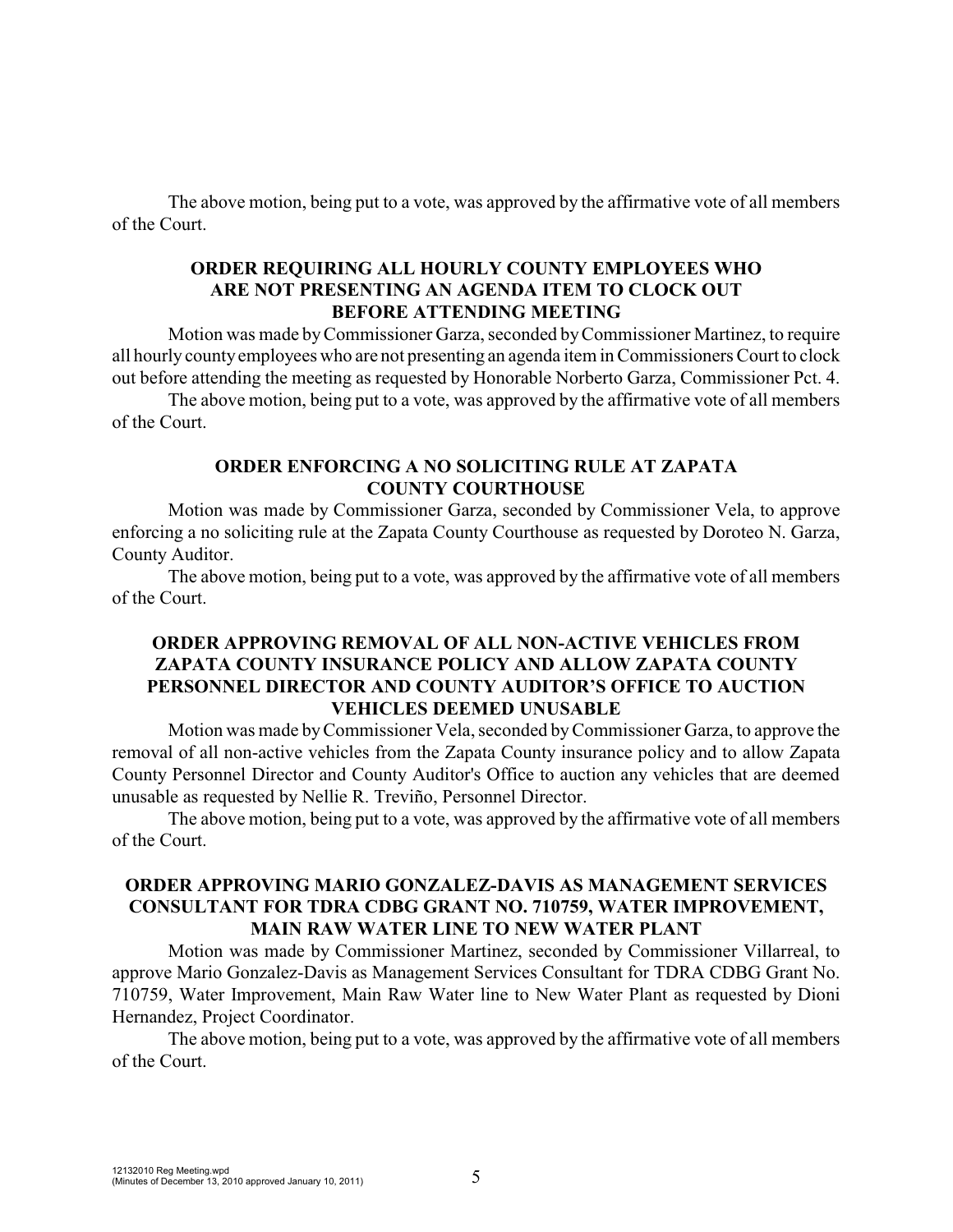The above motion, being put to a vote, was approved by the affirmative vote of all members of the Court.

## **ORDER REQUIRING ALL HOURLY COUNTY EMPLOYEES WHO ARE NOT PRESENTING AN AGENDA ITEM TO CLOCK OUT BEFORE ATTENDING MEETING**

Motion was made byCommissioner Garza, seconded byCommissioner Martinez, to require all hourly countyemployees who are not presenting an agenda item in Commissioners Court to clock out before attending the meeting as requested by Honorable Norberto Garza, Commissioner Pct. 4.

The above motion, being put to a vote, was approved by the affirmative vote of all members of the Court.

### **ORDER ENFORCING A NO SOLICITING RULE AT ZAPATA COUNTY COURTHOUSE**

Motion was made by Commissioner Garza, seconded by Commissioner Vela, to approve enforcing a no soliciting rule at the Zapata County Courthouse as requested by Doroteo N. Garza, County Auditor.

The above motion, being put to a vote, was approved by the affirmative vote of all members of the Court.

# **ORDER APPROVING REMOVAL OF ALL NON-ACTIVE VEHICLES FROM ZAPATA COUNTY INSURANCE POLICY AND ALLOW ZAPATA COUNTY PERSONNEL DIRECTOR AND COUNTY AUDITOR'S OFFICE TO AUCTION VEHICLES DEEMED UNUSABLE**

Motion was made byCommissioner Vela, seconded byCommissioner Garza, to approve the removal of all non-active vehicles from the Zapata County insurance policy and to allow Zapata County Personnel Director and County Auditor's Office to auction any vehicles that are deemed unusable as requested by Nellie R. Treviño, Personnel Director.

The above motion, being put to a vote, was approved by the affirmative vote of all members of the Court.

## **ORDER APPROVING MARIO GONZALEZ-DAVIS AS MANAGEMENT SERVICES CONSULTANT FOR TDRA CDBG GRANT NO. 710759, WATER IMPROVEMENT, MAIN RAW WATER LINE TO NEW WATER PLANT**

Motion was made by Commissioner Martinez, seconded by Commissioner Villarreal, to approve Mario Gonzalez-Davis as Management Services Consultant for TDRA CDBG Grant No. 710759, Water Improvement, Main Raw Water line to New Water Plant as requested by Dioni Hernandez, Project Coordinator.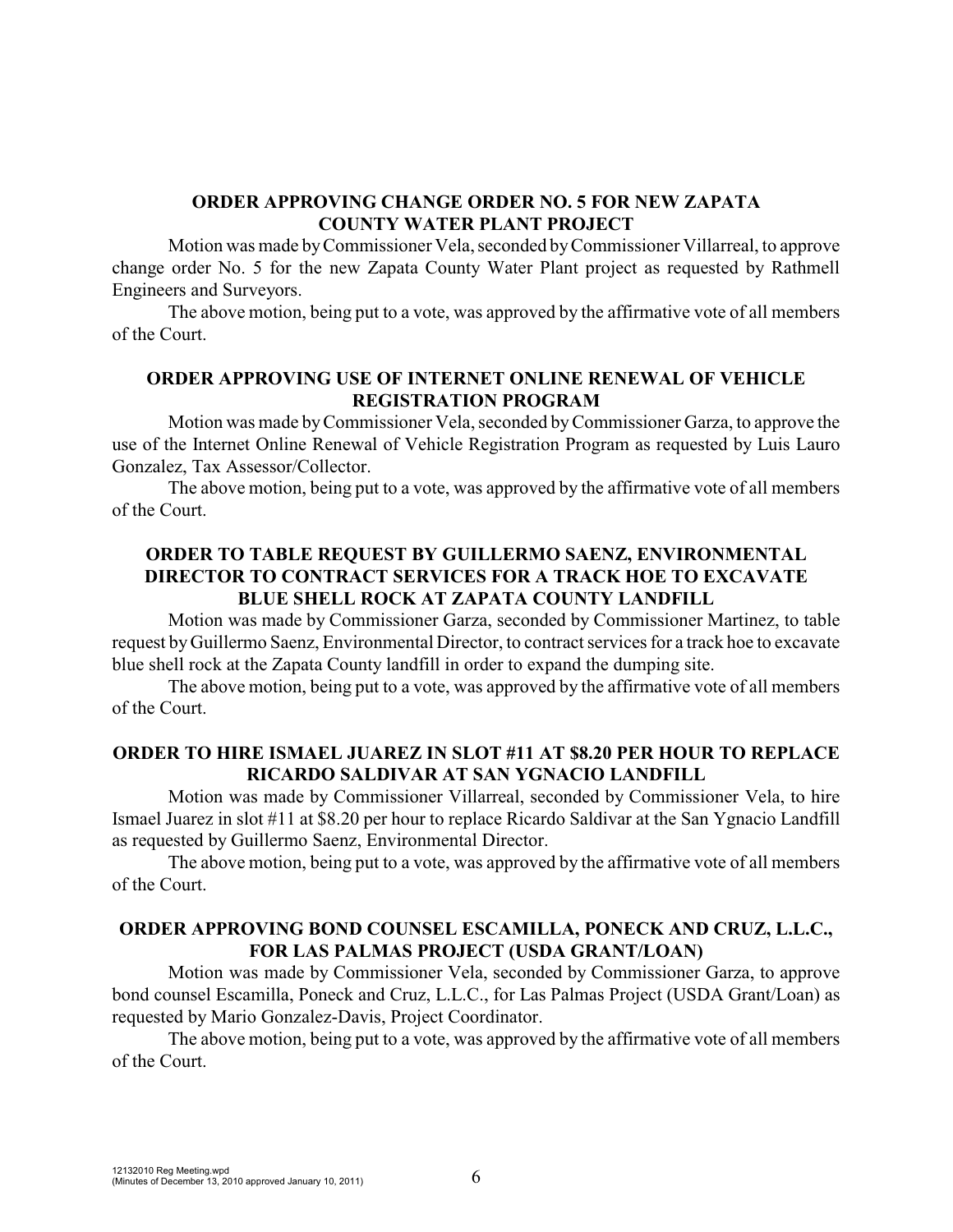### **ORDER APPROVING CHANGE ORDER NO. 5 FOR NEW ZAPATA COUNTY WATER PLANT PROJECT**

Motion was made byCommissioner Vela, seconded byCommissioner Villarreal, to approve change order No. 5 for the new Zapata County Water Plant project as requested by Rathmell Engineers and Surveyors.

The above motion, being put to a vote, was approved by the affirmative vote of all members of the Court.

# **ORDER APPROVING USE OF INTERNET ONLINE RENEWAL OF VEHICLE REGISTRATION PROGRAM**

Motion was made byCommissioner Vela, seconded byCommissioner Garza, to approve the use of the Internet Online Renewal of Vehicle Registration Program as requested by Luis Lauro Gonzalez, Tax Assessor/Collector.

The above motion, being put to a vote, was approved by the affirmative vote of all members of the Court.

## **ORDER TO TABLE REQUEST BY GUILLERMO SAENZ, ENVIRONMENTAL DIRECTOR TO CONTRACT SERVICES FOR A TRACK HOE TO EXCAVATE BLUE SHELL ROCK AT ZAPATA COUNTY LANDFILL**

Motion was made by Commissioner Garza, seconded by Commissioner Martinez, to table request byGuillermo Saenz, Environmental Director, to contract services for a track hoe to excavate blue shell rock at the Zapata County landfill in order to expand the dumping site.

The above motion, being put to a vote, was approved by the affirmative vote of all members of the Court.

### **ORDER TO HIRE ISMAEL JUAREZ IN SLOT #11 AT \$8.20 PER HOUR TO REPLACE RICARDO SALDIVAR AT SAN YGNACIO LANDFILL**

Motion was made by Commissioner Villarreal, seconded by Commissioner Vela, to hire Ismael Juarez in slot #11 at \$8.20 per hour to replace Ricardo Saldivar at the San Ygnacio Landfill as requested by Guillermo Saenz, Environmental Director.

The above motion, being put to a vote, was approved by the affirmative vote of all members of the Court.

## **ORDER APPROVING BOND COUNSEL ESCAMILLA, PONECK AND CRUZ, L.L.C., FOR LAS PALMAS PROJECT (USDA GRANT/LOAN)**

Motion was made by Commissioner Vela, seconded by Commissioner Garza, to approve bond counsel Escamilla, Poneck and Cruz, L.L.C., for Las Palmas Project (USDA Grant/Loan) as requested by Mario Gonzalez-Davis, Project Coordinator.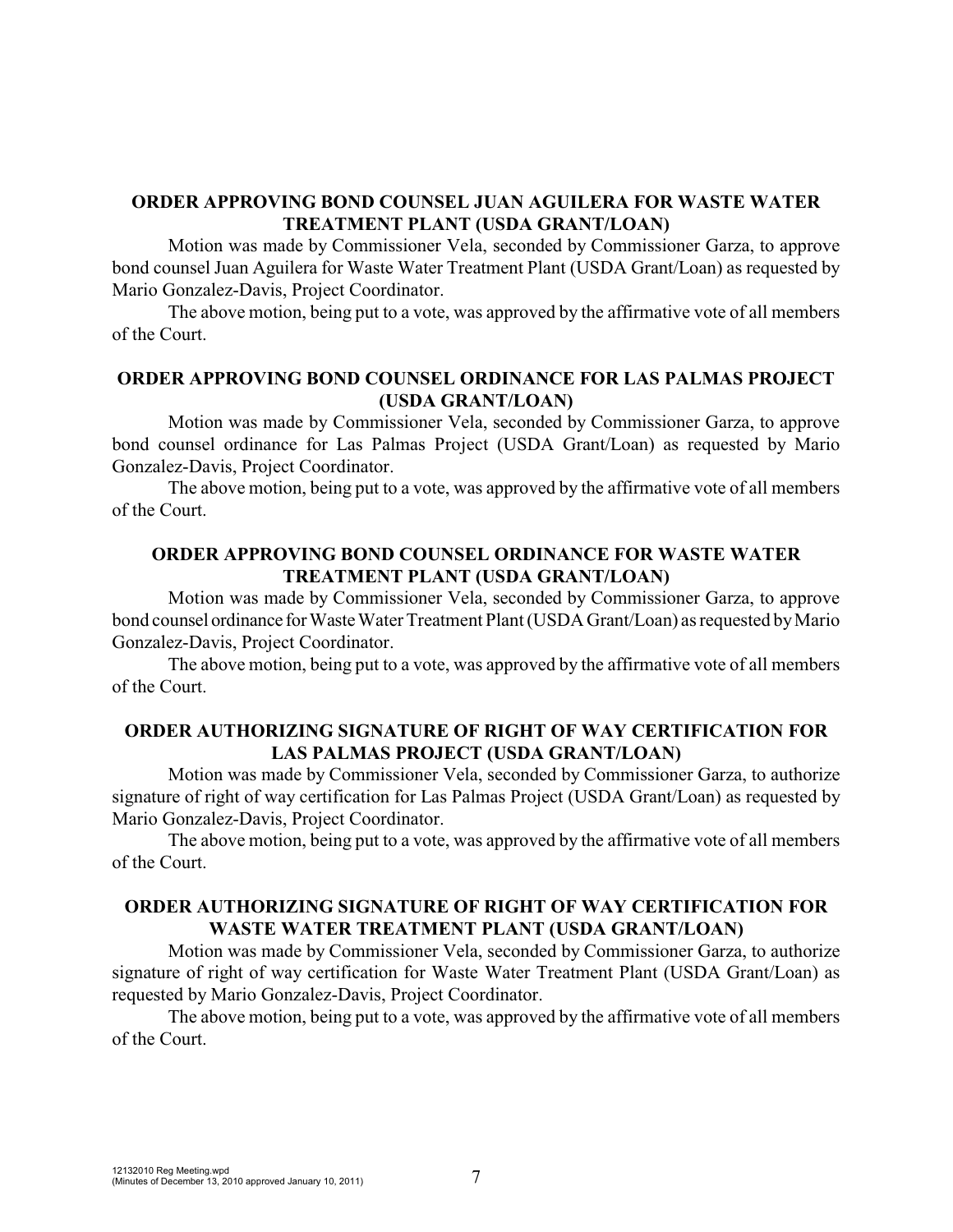### **ORDER APPROVING BOND COUNSEL JUAN AGUILERA FOR WASTE WATER TREATMENT PLANT (USDA GRANT/LOAN)**

Motion was made by Commissioner Vela, seconded by Commissioner Garza, to approve bond counsel Juan Aguilera for Waste Water Treatment Plant (USDA Grant/Loan) as requested by Mario Gonzalez-Davis, Project Coordinator.

The above motion, being put to a vote, was approved by the affirmative vote of all members of the Court.

# **ORDER APPROVING BOND COUNSEL ORDINANCE FOR LAS PALMAS PROJECT (USDA GRANT/LOAN)**

Motion was made by Commissioner Vela, seconded by Commissioner Garza, to approve bond counsel ordinance for Las Palmas Project (USDA Grant/Loan) as requested by Mario Gonzalez-Davis, Project Coordinator.

The above motion, being put to a vote, was approved by the affirmative vote of all members of the Court.

### **ORDER APPROVING BOND COUNSEL ORDINANCE FOR WASTE WATER TREATMENT PLANT (USDA GRANT/LOAN)**

Motion was made by Commissioner Vela, seconded by Commissioner Garza, to approve bond counsel ordinance for Waste Water Treatment Plant (USDA Grant/Loan) as requested by Mario Gonzalez-Davis, Project Coordinator.

The above motion, being put to a vote, was approved by the affirmative vote of all members of the Court.

## **ORDER AUTHORIZING SIGNATURE OF RIGHT OF WAY CERTIFICATION FOR LAS PALMAS PROJECT (USDA GRANT/LOAN)**

Motion was made by Commissioner Vela, seconded by Commissioner Garza, to authorize signature of right of way certification for Las Palmas Project (USDA Grant/Loan) as requested by Mario Gonzalez-Davis, Project Coordinator.

The above motion, being put to a vote, was approved by the affirmative vote of all members of the Court.

# **ORDER AUTHORIZING SIGNATURE OF RIGHT OF WAY CERTIFICATION FOR WASTE WATER TREATMENT PLANT (USDA GRANT/LOAN)**

Motion was made by Commissioner Vela, seconded by Commissioner Garza, to authorize signature of right of way certification for Waste Water Treatment Plant (USDA Grant/Loan) as requested by Mario Gonzalez-Davis, Project Coordinator.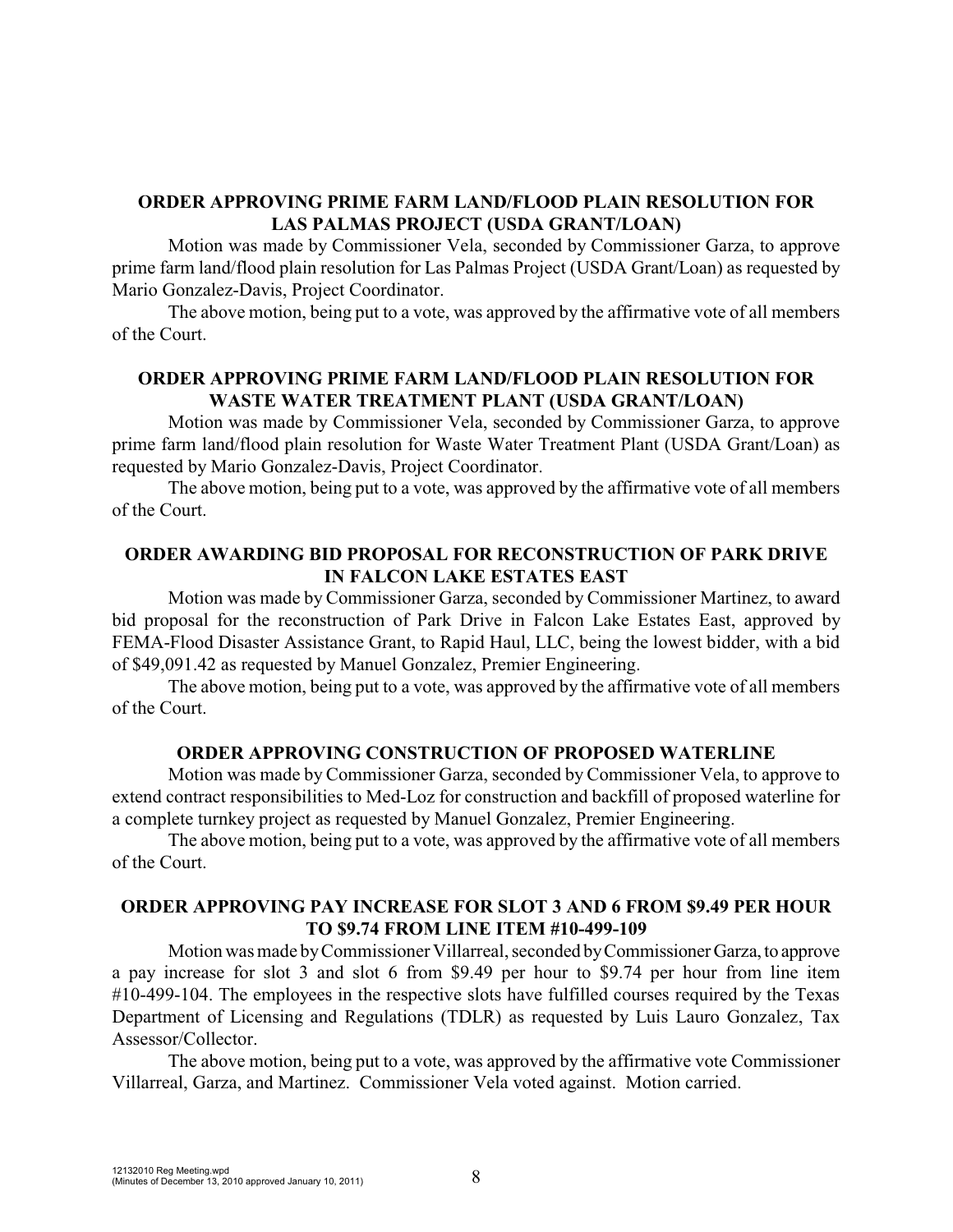### **ORDER APPROVING PRIME FARM LAND/FLOOD PLAIN RESOLUTION FOR LAS PALMAS PROJECT (USDA GRANT/LOAN)**

Motion was made by Commissioner Vela, seconded by Commissioner Garza, to approve prime farm land/flood plain resolution for Las Palmas Project (USDA Grant/Loan) as requested by Mario Gonzalez-Davis, Project Coordinator.

The above motion, being put to a vote, was approved by the affirmative vote of all members of the Court.

## **ORDER APPROVING PRIME FARM LAND/FLOOD PLAIN RESOLUTION FOR WASTE WATER TREATMENT PLANT (USDA GRANT/LOAN)**

Motion was made by Commissioner Vela, seconded by Commissioner Garza, to approve prime farm land/flood plain resolution for Waste Water Treatment Plant (USDA Grant/Loan) as requested by Mario Gonzalez-Davis, Project Coordinator.

The above motion, being put to a vote, was approved by the affirmative vote of all members of the Court.

## **ORDER AWARDING BID PROPOSAL FOR RECONSTRUCTION OF PARK DRIVE IN FALCON LAKE ESTATES EAST**

Motion was made by Commissioner Garza, seconded by Commissioner Martinez, to award bid proposal for the reconstruction of Park Drive in Falcon Lake Estates East, approved by FEMA-Flood Disaster Assistance Grant, to Rapid Haul, LLC, being the lowest bidder, with a bid of \$49,091.42 as requested by Manuel Gonzalez, Premier Engineering.

The above motion, being put to a vote, was approved by the affirmative vote of all members of the Court.

### **ORDER APPROVING CONSTRUCTION OF PROPOSED WATERLINE**

Motion was made by Commissioner Garza, seconded by Commissioner Vela, to approve to extend contract responsibilities to Med-Loz for construction and backfill of proposed waterline for a complete turnkey project as requested by Manuel Gonzalez, Premier Engineering.

The above motion, being put to a vote, was approved by the affirmative vote of all members of the Court.

## **ORDER APPROVING PAY INCREASE FOR SLOT 3 AND 6 FROM \$9.49 PER HOUR TO \$9.74 FROM LINE ITEM #10-499-109**

Motion was made byCommissioner Villarreal, seconded byCommissionerGarza,to approve a pay increase for slot 3 and slot 6 from \$9.49 per hour to \$9.74 per hour from line item #10-499-104. The employees in the respective slots have fulfilled courses required by the Texas Department of Licensing and Regulations (TDLR) as requested by Luis Lauro Gonzalez, Tax Assessor/Collector.

The above motion, being put to a vote, was approved by the affirmative vote Commissioner Villarreal, Garza, and Martinez. Commissioner Vela voted against. Motion carried.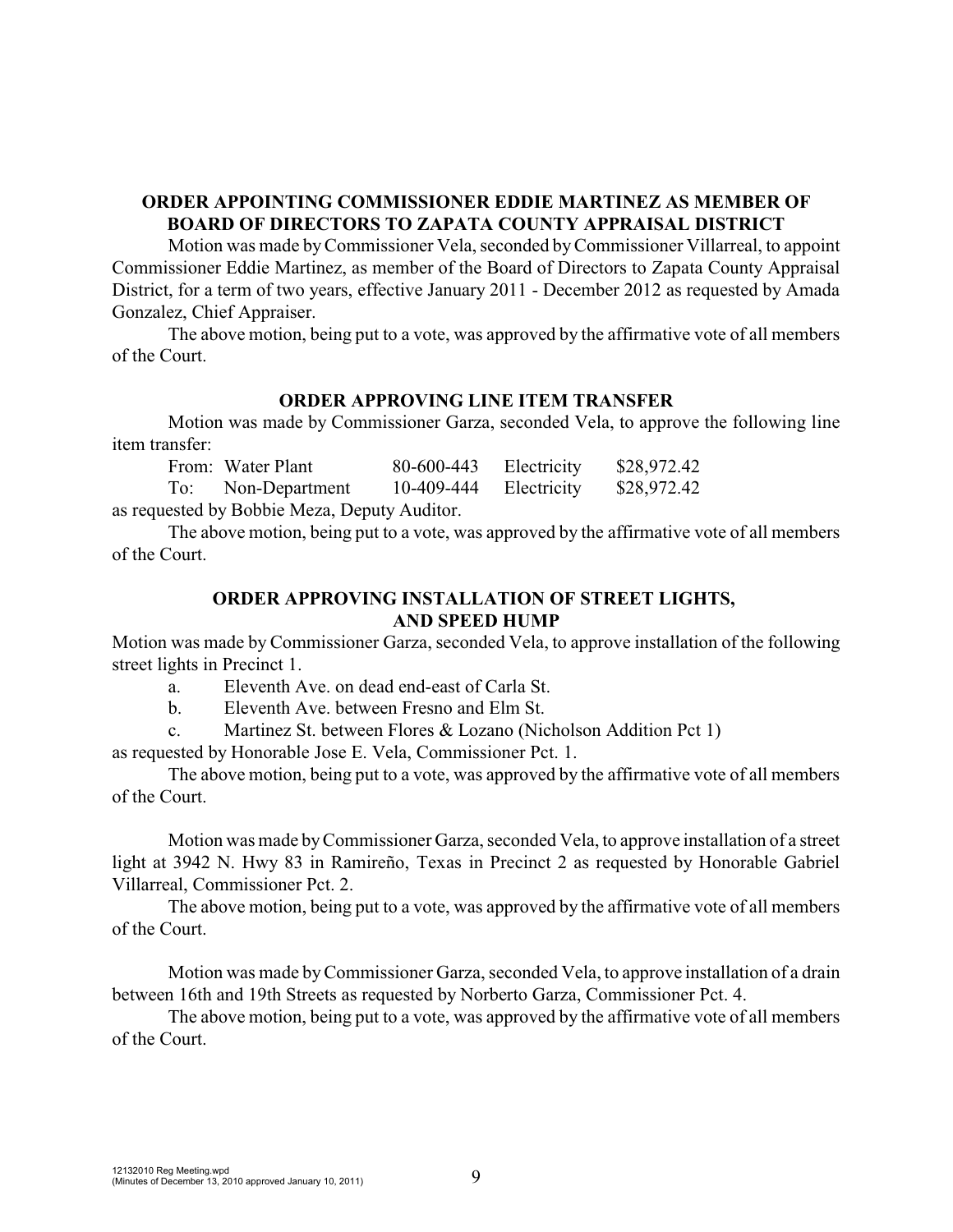## **ORDER APPOINTING COMMISSIONER EDDIE MARTINEZ AS MEMBER OF BOARD OF DIRECTORS TO ZAPATA COUNTY APPRAISAL DISTRICT**

Motion was made byCommissioner Vela, seconded byCommissioner Villarreal, to appoint Commissioner Eddie Martinez, as member of the Board of Directors to Zapata County Appraisal District, for a term of two years, effective January 2011 - December 2012 as requested by Amada Gonzalez, Chief Appraiser.

The above motion, being put to a vote, was approved by the affirmative vote of all members of the Court.

### **ORDER APPROVING LINE ITEM TRANSFER**

Motion was made by Commissioner Garza, seconded Vela, to approve the following line item transfer:

| From: Water Plant  | $80-600-443$ Electricity | \$28,972.42 |
|--------------------|--------------------------|-------------|
| To: Non-Department | 10-409-444 Electricity   | \$28,972.42 |
|                    |                          |             |

as requested by Bobbie Meza, Deputy Auditor.

The above motion, being put to a vote, was approved by the affirmative vote of all members of the Court.

### **ORDER APPROVING INSTALLATION OF STREET LIGHTS, AND SPEED HUMP**

Motion was made by Commissioner Garza, seconded Vela, to approve installation of the following street lights in Precinct 1.

a. Eleventh Ave. on dead end-east of Carla St.

b. Eleventh Ave. between Fresno and Elm St.

c. Martinez St. between Flores & Lozano (Nicholson Addition Pct 1)

as requested by Honorable Jose E. Vela, Commissioner Pct. 1.

The above motion, being put to a vote, was approved by the affirmative vote of all members of the Court.

Motion was made byCommissioner Garza, seconded Vela, to approve installation of a street light at 3942 N. Hwy 83 in Ramireño, Texas in Precinct 2 as requested by Honorable Gabriel Villarreal, Commissioner Pct. 2.

The above motion, being put to a vote, was approved by the affirmative vote of all members of the Court.

Motion was made byCommissioner Garza, seconded Vela, to approve installation of a drain between 16th and 19th Streets as requested by Norberto Garza, Commissioner Pct. 4.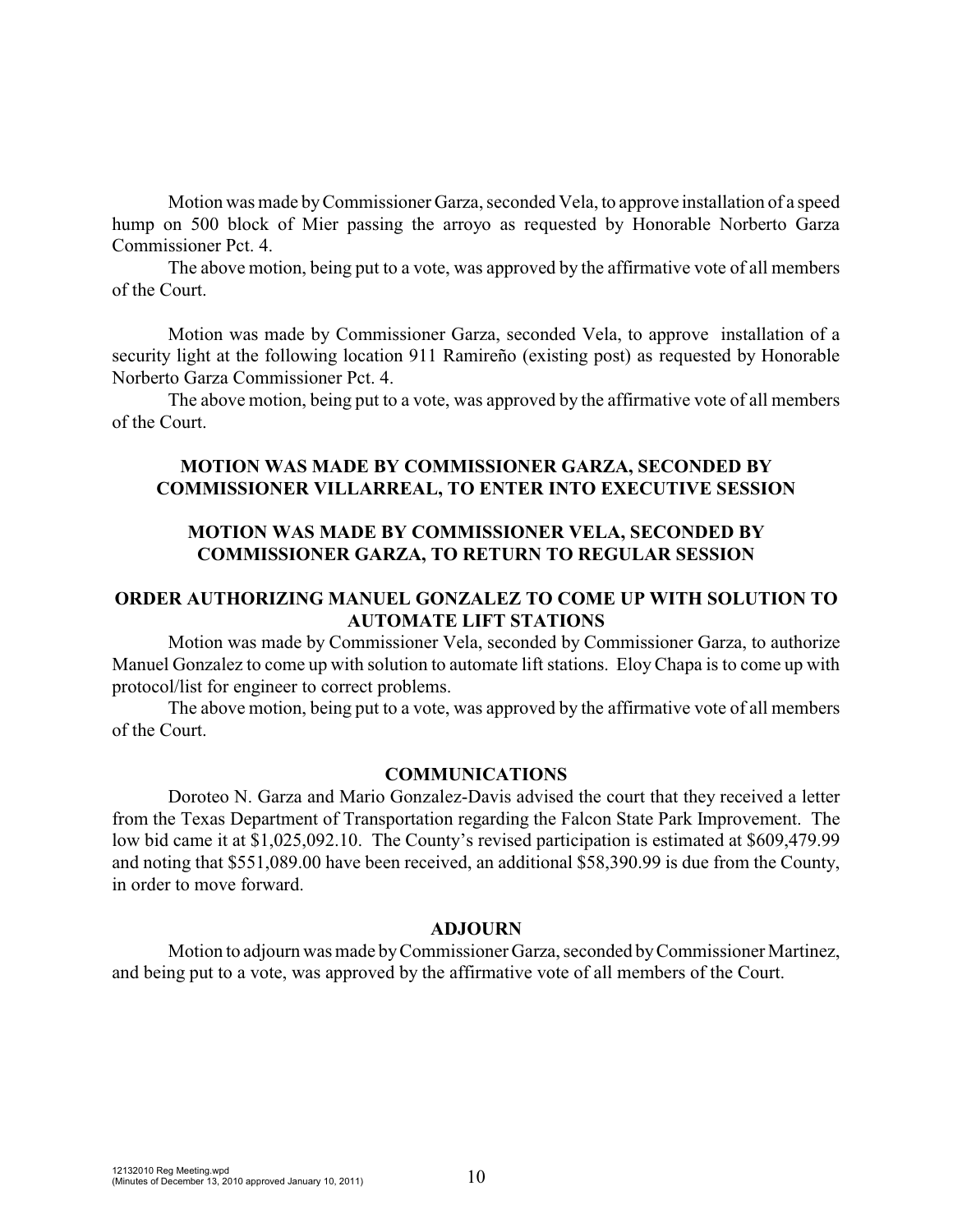Motion was made byCommissioner Garza, seconded Vela, to approve installation of a speed hump on 500 block of Mier passing the arroyo as requested by Honorable Norberto Garza Commissioner Pct. 4.

The above motion, being put to a vote, was approved by the affirmative vote of all members of the Court.

Motion was made by Commissioner Garza, seconded Vela, to approve installation of a security light at the following location 911 Ramireño (existing post) as requested by Honorable Norberto Garza Commissioner Pct. 4.

The above motion, being put to a vote, was approved by the affirmative vote of all members of the Court.

## **MOTION WAS MADE BY COMMISSIONER GARZA, SECONDED BY COMMISSIONER VILLARREAL, TO ENTER INTO EXECUTIVE SESSION**

## **MOTION WAS MADE BY COMMISSIONER VELA, SECONDED BY COMMISSIONER GARZA, TO RETURN TO REGULAR SESSION**

### **ORDER AUTHORIZING MANUEL GONZALEZ TO COME UP WITH SOLUTION TO AUTOMATE LIFT STATIONS**

Motion was made by Commissioner Vela, seconded by Commissioner Garza, to authorize Manuel Gonzalez to come up with solution to automate lift stations. EloyChapa is to come up with protocol/list for engineer to correct problems.

The above motion, being put to a vote, was approved by the affirmative vote of all members of the Court.

#### **COMMUNICATIONS**

Doroteo N. Garza and Mario Gonzalez-Davis advised the court that they received a letter from the Texas Department of Transportation regarding the Falcon State Park Improvement. The low bid came it at \$1,025,092.10. The County's revised participation is estimated at \$609,479.99 and noting that \$551,089.00 have been received, an additional \$58,390.99 is due from the County, in order to move forward.

#### **ADJOURN**

Motion to adjourn was made byCommissioner Garza, seconded byCommissioner Martinez, and being put to a vote, was approved by the affirmative vote of all members of the Court.